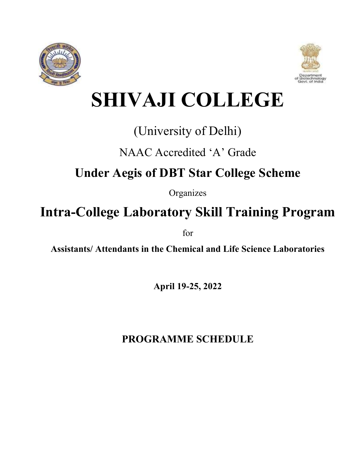



# **SHIVAJI COLLEGE**

## (University of Delhi)

## NAAC Accredited 'A' Grade

## **Under Aegis of DBT Star College Scheme**

Organizes

## **Intra-College Laboratory Skill Training Program**

for

**Assistants/ Attendants in the Chemical and Life Science Laboratories** 

**April 19-25, 2022**

## **PROGRAMME SCHEDULE**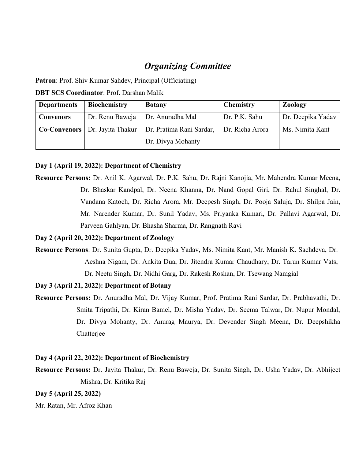### *Organizing Committee*

**Patron**: Prof. Shiv Kumar Sahdev, Principal (Officiating)

**DBT SCS Coordinator**: Prof. Darshan Malik

| <b>Departments</b> | <b>Biochemistry</b>                     | <b>Botany</b>            | <b>Chemistry</b> | <b>Zoology</b>    |
|--------------------|-----------------------------------------|--------------------------|------------------|-------------------|
| <b>Convenors</b>   | Dr. Renu Baweja                         | Dr. Anuradha Mal         | Dr. P.K. Sahu    | Dr. Deepika Yadav |
|                    | <b>Co-Convenors</b>   Dr. Jayita Thakur | Dr. Pratima Rani Sardar, | Dr. Richa Arora  | Ms. Nimita Kant   |
|                    |                                         | Dr. Divya Mohanty        |                  |                   |

#### **Day 1 (April 19, 2022): Department of Chemistry**

**Resource Persons:** Dr. Anil K. Agarwal, Dr. P.K. Sahu, Dr. Rajni Kanojia, Mr. Mahendra Kumar Meena, Dr. Bhaskar Kandpal, Dr. Neena Khanna, Dr. Nand Gopal Giri, Dr. Rahul Singhal, Dr. Vandana Katoch, Dr. Richa Arora, Mr. Deepesh Singh, Dr. Pooja Saluja, Dr. Shilpa Jain, Mr. Narender Kumar, Dr. Sunil Yadav, Ms. Priyanka Kumari, Dr. Pallavi Agarwal, Dr. Parveen Gahlyan, Dr. Bhasha Sharma, Dr. Rangnath Ravi

#### **Day 2 (April 20, 2022): Department of Zoology**

**Resource Persons**: Dr. Sunita Gupta, Dr. Deepika Yadav, Ms. Nimita Kant, Mr. Manish K. Sachdeva, Dr. Aeshna Nigam, Dr. Ankita Dua, Dr. Jitendra Kumar Chaudhary, Dr. Tarun Kumar Vats, Dr. Neetu Singh, Dr. Nidhi Garg, Dr. Rakesh Roshan, Dr. Tsewang Namgial

#### **Day 3 (April 21, 2022): Department of Botany**

**Resource Persons:** Dr. Anuradha Mal, Dr. Vijay Kumar, Prof. Pratima Rani Sardar, Dr. Prabhavathi, Dr. Smita Tripathi, Dr. Kiran Bamel, Dr. Misha Yadav, Dr. Seema Talwar, Dr. Nupur Mondal, Dr. Divya Mohanty, Dr. Anurag Maurya, Dr. Devender Singh Meena, Dr. Deepshikha Chatterjee

#### **Day 4 (April 22, 2022): Department of Biochemistry**

**Resource Persons:** Dr. Jayita Thakur, Dr. Renu Baweja, Dr. Sunita Singh, Dr. Usha Yadav, Dr. Abhijeet Mishra, Dr. Kritika Raj

**Day 5 (April 25, 2022)**

Mr. Ratan, Mr. Afroz Khan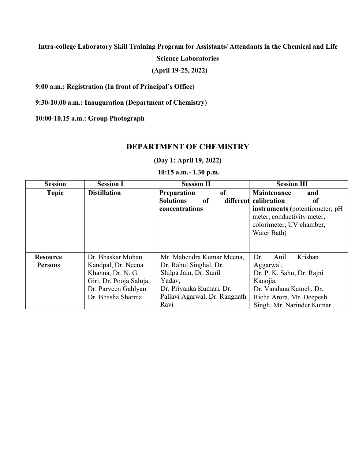**Intra-college Laboratory Skill Training Program for Assistants/ Attendants in the Chemical and Life** 

**Science Laboratories**

**(April 19-25, 2022)** 

**9:00 a.m.: Registration (In front of Principal's Office)**

**9:30-10.00 a.m.: Inauguration (Department of Chemistry)**

**10:00-10.15 a.m.: Group Photograph**

#### **DEPARTMENT OF CHEMISTRY**

**(Day 1: April 19, 2022)**

**10:15 a.m.- 1.30 p.m.**

| <b>Session</b>  | <b>Session I</b>        | <b>Session II</b>                                                                     | <b>Session III</b>                                                                                                                                  |
|-----------------|-------------------------|---------------------------------------------------------------------------------------|-----------------------------------------------------------------------------------------------------------------------------------------------------|
| <b>Topic</b>    | <b>Distillation</b>     | of<br>Preparation<br><b>Solutions</b><br><sub>of</sub><br>different<br>concentrations | Maintenance<br>and<br>calibration<br>of<br>instruments (potentiometer, pH)<br>meter, conductivity meter,<br>colorimeter, UV chamber,<br>Water Bath) |
| <b>Resource</b> | Dr. Bhaskar Mohan       | Mr. Mahendra Kumar Meena,                                                             | Krishan<br>Anil<br>Dr.                                                                                                                              |
| <b>Persons</b>  | Kandpal, Dr. Neena      | Dr. Rahul Singhal, Dr.                                                                | Aggarwal,                                                                                                                                           |
|                 | Khanna, Dr. N. G.       | Shilpa Jain, Dr. Sunil                                                                | Dr. P. K. Sahu, Dr. Rajni                                                                                                                           |
|                 | Giri, Dr. Pooja Saluja, | Yadav,                                                                                | Kanojia,                                                                                                                                            |
|                 | Dr. Parveen Gahlyan     | Dr. Priyanka Kumari, Dr.                                                              | Dr. Vandana Katoch, Dr.                                                                                                                             |
|                 | Dr. Bhasha Sharma       | Pallavi Agarwal, Dr. Rangnath                                                         | Richa Arora, Mr. Deepesh                                                                                                                            |
|                 |                         | Ravi                                                                                  | Singh, Mr. Narinder Kumar                                                                                                                           |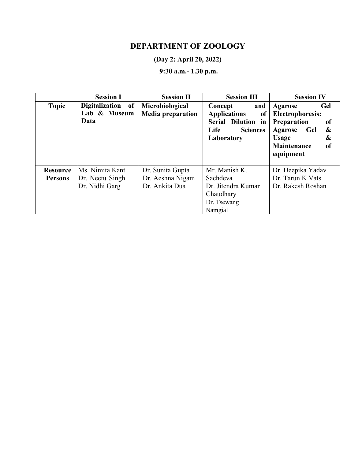### **DEPARTMENT OF ZOOLOGY**

#### **(Day 2: April 20, 2022)**

## **9:30 a.m.- 1.30 p.m.**

|                 | <b>Session I</b>                          | <b>Session II</b>                           | <b>Session III</b>                                                                                                | <b>Session IV</b>                                                                                                                                                            |
|-----------------|-------------------------------------------|---------------------------------------------|-------------------------------------------------------------------------------------------------------------------|------------------------------------------------------------------------------------------------------------------------------------------------------------------------------|
| <b>Topic</b>    | Digitalization of<br>Lab & Museum<br>Data | Microbiological<br><b>Media preparation</b> | and<br>Concept<br><b>Applications</b><br>of<br>Serial Dilution in<br><b>Life</b><br><b>Sciences</b><br>Laboratory | Gel<br><b>Agarose</b><br><b>Electrophoresis:</b><br>Preparation<br>of<br>&<br><b>Gel</b><br><b>Agarose</b><br>&<br>Usage<br><b>Maintenance</b><br><sub>of</sub><br>equipment |
| <b>Resource</b> | Ms. Nimita Kant                           | Dr. Sunita Gupta                            | Mr. Manish K.                                                                                                     | Dr. Deepika Yadav                                                                                                                                                            |
| <b>Persons</b>  | Dr. Neetu Singh                           | Dr. Aeshna Nigam                            | Sachdeva                                                                                                          | Dr. Tarun K Vats                                                                                                                                                             |
|                 | Dr. Nidhi Garg                            | Dr. Ankita Dua                              | Dr. Jitendra Kumar                                                                                                | Dr. Rakesh Roshan                                                                                                                                                            |
|                 |                                           |                                             | Chaudhary                                                                                                         |                                                                                                                                                                              |
|                 |                                           |                                             | Dr. Tsewang                                                                                                       |                                                                                                                                                                              |
|                 |                                           |                                             | Namgial                                                                                                           |                                                                                                                                                                              |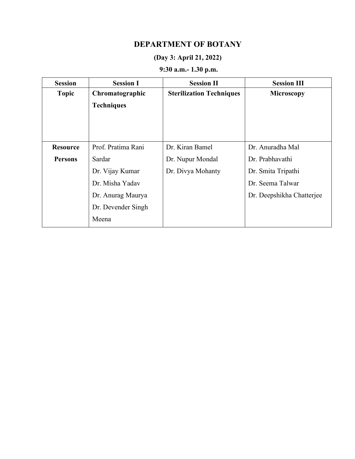### **DEPARTMENT OF BOTANY**

#### **(Day 3: April 21, 2022)**

## **9:30 a.m.- 1.30 p.m.**

| <b>Session</b>  | <b>Session I</b>   | <b>Session II</b>               | <b>Session III</b>        |
|-----------------|--------------------|---------------------------------|---------------------------|
| <b>Topic</b>    | Chromatographic    | <b>Sterilization Techniques</b> | <b>Microscopy</b>         |
|                 | <b>Techniques</b>  |                                 |                           |
|                 |                    |                                 |                           |
|                 |                    |                                 |                           |
|                 |                    |                                 |                           |
| <b>Resource</b> | Prof. Pratima Rani | Dr. Kiran Bamel                 | Dr. Anuradha Mal          |
| <b>Persons</b>  | Sardar             | Dr. Nupur Mondal                | Dr. Prabhavathi           |
|                 | Dr. Vijay Kumar    | Dr. Divya Mohanty               | Dr. Smita Tripathi        |
|                 | Dr. Misha Yadav    |                                 | Dr. Seema Talwar          |
|                 | Dr. Anurag Maurya  |                                 | Dr. Deepshikha Chatterjee |
|                 | Dr. Devender Singh |                                 |                           |
|                 | Meena              |                                 |                           |